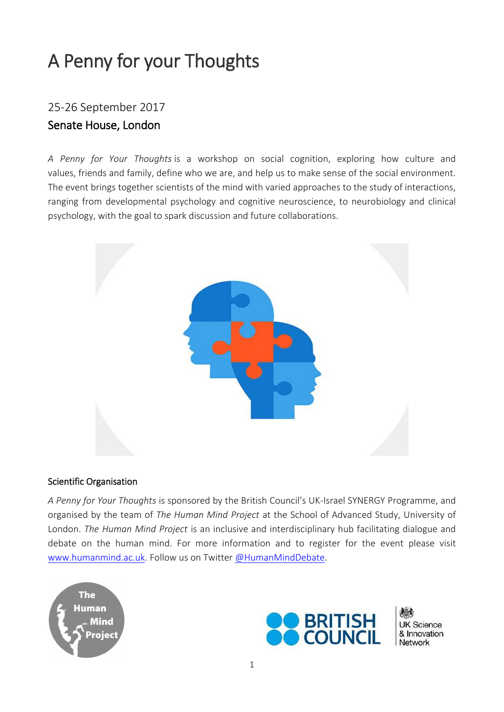# A Penny for your Thoughts

## 25-26 September 2017 Senate House, London

*A Penny for Your Thoughts* is a workshop on social cognition, exploring how culture and values, friends and family, define who we are, and help us to make sense of the social environment. The event brings together scientists of the mind with varied approaches to the study of interactions, ranging from developmental psychology and cognitive neuroscience, to neurobiology and clinical psychology, with the goal to spark discussion and future collaborations.



#### Scientific Organisation

*A Penny for Your Thoughts* is sponsored by the British Council's UK-Israel SYNERGY Programme, and organised by the team of *The Human Mind Project* at the School of Advanced Study, University of London. *The Human Mind Project* is an inclusive and interdisciplinary hub facilitating dialogue and debate on the human mind. For more information and to register for the event please visit [www.humanmind.ac.uk.](http://www.humanmind.ac.uk/) Follow us on Twitter [@HumanMindDebate.](https://twitter.com/HumanMindDebate)





**UK Science** & Innovation Network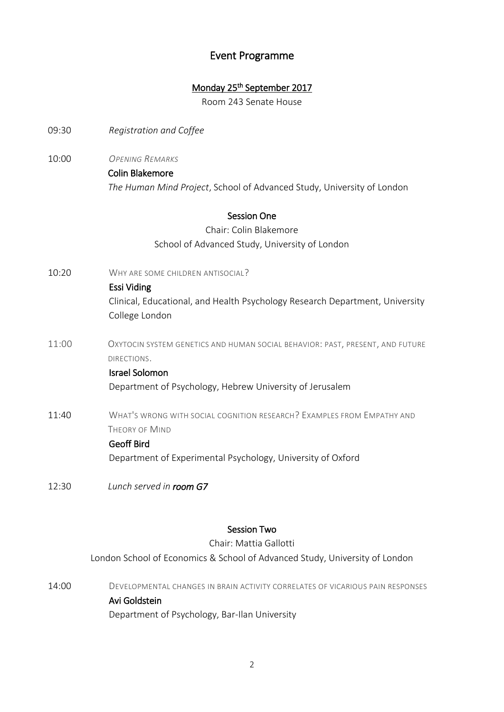## Event Programme

## Monday 25<sup>th</sup> September 2017

Room 243 Senate House

- 09:30 *Registration and Coffee*
- 10:00 *OPENING REMARKS*

## Colin Blakemore

*The Human Mind Project*, School of Advanced Study, University of London

## Session One

## Chair: Colin Blakemore School of Advanced Study, University of London

10:20 WHY ARE SOME CHILDREN ANTISOCIAL?

#### Essi Viding

Clinical, Educational, and Health Psychology Research Department, University College London

11:00 OXYTOCIN SYSTEM GENETICS AND HUMAN SOCIAL BEHAVIOR: PAST, PRESENT, AND FUTURE DIRECTIONS.

## Israel Solomon Department of Psychology, Hebrew University of Jerusalem

11:40 WHAT'S WRONG WITH SOCIAL COGNITION RESEARCH? EXAMPLES FROM EMPATHY AND THEORY OF MIND

### Geoff Bird

Department of Experimental Psychology, University of Oxford

12:30 *Lunch served in room G7* 

#### Session Two

Chair: Mattia Gallotti London School of Economics & School of Advanced Study, University of London

14:00 DEVELOPMENTAL CHANGES IN BRAIN ACTIVITY CORRELATES OF VICARIOUS PAIN RESPONSES Avi Goldstein Department of Psychology, Bar-Ilan University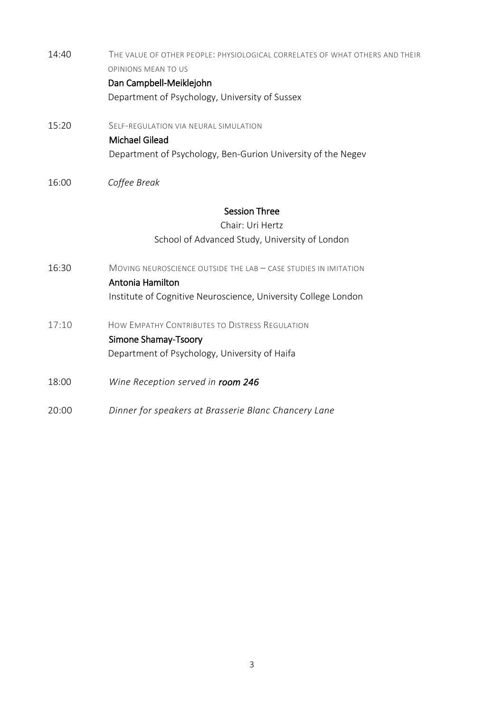| 14:40 | The value of other people: physiological correlates of what others and their<br><b>OPINIONS MEAN TO US</b> |
|-------|------------------------------------------------------------------------------------------------------------|
|       | Dan Campbell-Meiklejohn                                                                                    |
|       | Department of Psychology, University of Sussex                                                             |
| 15:20 | SELF-REGULATION VIA NEURAL SIMULATION                                                                      |
|       | <b>Michael Gilead</b>                                                                                      |
|       | Department of Psychology, Ben-Gurion University of the Negev                                               |
| 16:00 | Coffee Break                                                                                               |
|       | <b>Session Three</b>                                                                                       |
|       | Chair: Uri Hertz                                                                                           |
|       | School of Advanced Study, University of London                                                             |
| 16:30 | MOVING NEUROSCIENCE OUTSIDE THE LAB - CASE STUDIES IN IMITATION<br>Antonia Hamilton                        |
|       | Institute of Cognitive Neuroscience, University College London                                             |
| 17:10 | HOW EMPATHY CONTRIBUTES TO DISTRESS REGULATION                                                             |
|       | Simone Shamay-Tsoory                                                                                       |
|       | Department of Psychology, University of Haifa                                                              |
| 18:00 | Wine Reception served in room 246                                                                          |

20:00 *Dinner for speakers at Brasserie Blanc Chancery Lane*